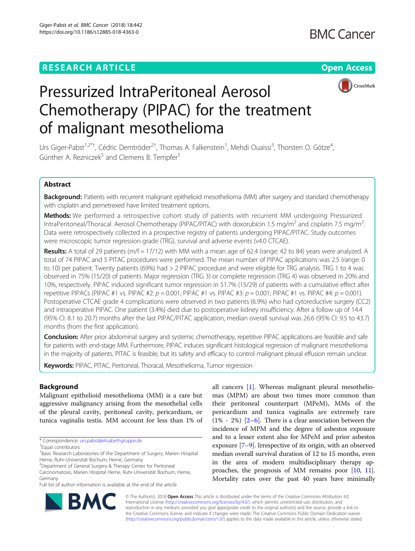## **RESEARCH ARTICLE Example 2018 12:30 THE Open Access**



# Pressurized IntraPeritoneal Aerosol Chemotherapy (PIPAC) for the treatment of malignant mesothelioma

Urs Giger-Pabst<sup>1,2\*†</sup>, Cédric Demtröder<sup>2†</sup>, Thomas A. Falkenstein<sup>1</sup>, Mehdi Ouaissi<sup>3</sup>, Thorsten O. Götze<sup>4</sup> , Günther A. Rezniczek<sup>5</sup> and Clemens B. Tempfer<sup>5</sup>

## Abstract

Background: Patients with recurrent malignant epithelioid mesothelioma (MM) after surgery and standard chemotherapy with cisplatin and pemetrexed have limited treatment options.

Methods: We performed a retrospective cohort study of patients with recurrent MM undergoing Pressurized IntraPeritoneal/Thoracal Aerosol Chemotherapy (PIPAC/PITAC) with doxorubicin 1.5 mg/m<sup>2</sup> and cisplatin 7.5 mg/m<sup>2</sup>. . Data were retrospectively collected in a prospective registry of patients undergoing PIPAC/PITAC. Study outcomes were microscopic tumor regression grade (TRG), survival and adverse events (v4.0 CTCAE).

**Results:** A total of 29 patients ( $m/f = 17/12$ ) with MM with a mean age of 62.4 (range: 42 to 84) years were analyzed. A total of 74 PIPAC and 5 PITAC procedures were performed. The mean number of PIPAC applications was 2.5 (range: 0 to 10) per patient. Twenty patients (69%) had > 2 PIPAC procedure and were eligible for TRG analysis. TRG 1 to 4 was observed in 75% (15/20) of patients. Major regression (TRG 3) or complete regression (TRG 4) was observed in 20% and 10%, respectively. PIPAC induced significant tumor regression in 51.7% (15/29) of patients with a cumulative effect after repetitive PIPACs (PIPAC #1 vs. PIPAC #2:  $p = 0.001$ ; PIPAC #1 vs. PIPAC #3:  $p = 0.001$ ; PIPAC #1 vs. PIPAC #4:  $p = 0.001$ ). Postoperative CTCAE grade 4 complications were observed in two patients (6.9%) who had cytoreductive surgery (CC2) and intraoperative PIPAC. One patient (3.4%) died due to postoperative kidney insufficiency. After a follow up of 14.4 (95% CI: 8.1 to 20.7) months after the last PIPAC/PITAC application, median overall survival was 26.6 (95% CI: 9.5 to 43.7) months (from the first application).

Conclusion: After prior abdominal surgery and systemic chemotherapy, repetitive PIPAC applications are feasible and safe for patients with end-stage MM. Furthermore, PIPAC induces significant histological regression of malignant mesothelioma in the majority of patients. PITAC is feasible, but its safety and efficacy to control malignant pleural effusion remain unclear.

Keywords: PIPAC, PITAC, Peritoneal, Thoracal, Mesothelioma, Tumor regression

## Background

Malignant epithelioid mesothelioma (MM) is a rare but aggressive malignancy arising from the mesothelial cells of the pleural cavity, peritoneal cavity, pericardium, or tunica vaginalis testis. MM account for less than 1% of

\* Correspondence: [urs.pabst@elisabethgruppe.de](mailto:urs.pabst@elisabethgruppe.de) †

Equal contributors

all cancers [[1\]](#page-7-0). Whereas malignant pleural mesotheliomas (MPM) are about two times more common than their peritoneal counterpart (MPeM), MMs of the pericardium and tunica vaginalis are extremely rare  $(1\% - 2\%)$  $(1\% - 2\%)$  $(1\% - 2\%)$   $[2-6]$  $[2-6]$  $[2-6]$ . There is a clear association between the incidence of MPM and the degree of asbestos exposure and to a lesser extent also for MPeM and prior asbestos exposure [[7](#page-8-0)–[9](#page-8-0)]. Irrespective of its origin, with an observed median overall survival duration of 12 to 15 months, even in the area of modern multidisciplinary therapy approaches, the prognosis of MM remains poor [\[10,](#page-8-0) [11](#page-8-0)]. Mortality rates over the past 40 years have minimally



© The Author(s). 2018 Open Access This article is distributed under the terms of the Creative Commons Attribution 4.0 International License [\(http://creativecommons.org/licenses/by/4.0/](http://creativecommons.org/licenses/by/4.0/)), which permits unrestricted use, distribution, and reproduction in any medium, provided you give appropriate credit to the original author(s) and the source, provide a link to the Creative Commons license, and indicate if changes were made. The Creative Commons Public Domain Dedication waiver [\(http://creativecommons.org/publicdomain/zero/1.0/](http://creativecommons.org/publicdomain/zero/1.0/)) applies to the data made available in this article, unless otherwise stated.

<sup>&</sup>lt;sup>1</sup> Basic Research Laboratories of the Department of Surgery, Marien Hospital Herne, Ruhr-Universität Bochum, Herne, Germany

<sup>&</sup>lt;sup>2</sup> Department of General Surgery & Therapy Center for Peritoneal

Carcinomatosis, Marien Hospital Herne, Ruhr-Universität Bochum, Herne, Germany

Full list of author information is available at the end of the article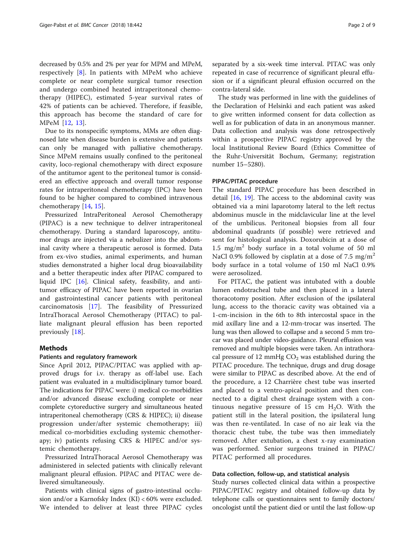decreased by 0.5% and 2% per year for MPM and MPeM, respectively [[8\]](#page-8-0). In patients with MPeM who achieve complete or near complete surgical tumor resection and undergo combined heated intraperitoneal chemotherapy (HIPEC), estimated 5-year survival rates of 42% of patients can be achieved. Therefore, if feasible, this approach has become the standard of care for MPeM [\[12](#page-8-0), [13](#page-8-0)].

Due to its nonspecific symptoms, MMs are often diagnosed late when disease burden is extensive and patients can only be managed with palliative chemotherapy. Since MPeM remains usually confined to the peritoneal cavity, loco-regional chemotherapy with direct exposure of the antitumor agent to the peritoneal tumor is considered an effective approach and overall tumor response rates for intraperitoneal chemotherapy (IPC) have been found to be higher compared to combined intravenous chemotherapy [[14,](#page-8-0) [15\]](#page-8-0).

Pressurized IntraPeritoneal Aerosol Chemotherapy (PIPAC) is a new technique to deliver intraperitoneal chemotherapy. During a standard laparoscopy, antitumor drugs are injected via a nebulizer into the abdominal cavity where a therapeutic aerosol is formed. Data from ex-vivo studies, animal experiments, and human studies demonstrated a higher local drug bioavailability and a better therapeutic index after PIPAC compared to liquid IPC [[16\]](#page-8-0). Clinical safety, feasibility, and antitumor efficacy of PIPAC have been reported in ovarian and gastrointestinal cancer patients with peritoneal carcinomatosis [\[17](#page-8-0)]. The feasibility of Pressurized IntraThoracal Aerosol Chemotherapy (PITAC) to palliate malignant pleural effusion has been reported previously [\[18](#page-8-0)].

## Methods

## Patients and regulatory framework

Since April 2012, PIPAC/PITAC was applied with approved drugs for i.v. therapy as off-label use. Each patient was evaluated in a multidisciplinary tumor board. The indications for PIPAC were: i) medical co-morbidities and/or advanced disease excluding complete or near complete cytoreductive surgery and simultaneous heated intraperitoneal chemotherapy (CRS & HIPEC); ii) disease progression under/after systemic chemotherapy; iii) medical co-morbidities excluding systemic chemotherapy; iv) patients refusing CRS & HIPEC and/or systemic chemotherapy.

Pressurized IntraThoracal Aerosol Chemotherapy was administered in selected patients with clinically relevant malignant pleural effusion. PIPAC and PITAC were delivered simultaneously.

Patients with clinical signs of gastro-intestinal occlusion and/or a Karnofsky Index (KI) < 60% were excluded. We intended to deliver at least three PIPAC cycles separated by a six-week time interval. PITAC was only repeated in case of recurrence of significant pleural effusion or if a significant pleural effusion occurred on the contra-lateral side.

The study was performed in line with the guidelines of the Declaration of Helsinki and each patient was asked to give written informed consent for data collection as well as for publication of data in an anonymous manner. Data collection and analysis was done retrospectively within a prospective PIPAC registry approved by the local Institutional Review Board (Ethics Committee of the Ruhr-Universität Bochum, Germany; registration number 15–5280).

#### PIPAC/PITAC procedure

The standard PIPAC procedure has been described in detail [\[16](#page-8-0), [19](#page-8-0)]. The access to the abdominal cavity was obtained via a mini laparotomy lateral to the left rectus abdominus muscle in the midclavicular line at the level of the umbilicus. Peritoneal biopsies from all four abdominal quadrants (if possible) were retrieved and sent for histological analysis. Doxorubicin at a dose of 1.5 mg/m<sup>2</sup> body surface in a total volume of 50 ml NaCl 0.9% followed by cisplatin at a dose of 7.5 mg/m<sup>2</sup> body surface in a total volume of 150 ml NaCl 0.9% were aerosolized.

For PITAC, the patient was intubated with a double lumen endotracheal tube and then placed in a lateral thoracotomy position. After exclusion of the ipsilateral lung, access to the thoracic cavity was obtained via a 1-cm-incision in the 6th to 8th intercostal space in the mid axillary line and a 12-mm-trocar was inserted. The lung was then allowed to collapse and a second 5 mm trocar was placed under video-guidance. Pleural effusion was removed and multiple biopsies were taken. An intrathoracal pressure of 12 mmHg  $CO<sub>2</sub>$  was established during the PITAC procedure. The technique, drugs and drug dosage were similar to PIPAC as described above. At the end of the procedure, a 12 Charrière chest tube was inserted and placed to a ventro-apical position and then connected to a digital chest drainage system with a continuous negative pressure of 15 cm  $H_2O$ . With the patient still in the lateral position, the ipsilateral lung was then re-ventilated. In case of no air leak via the thoracic chest tube, the tube was then immediately removed. After extubation, a chest x-ray examination was performed. Senior surgeons trained in PIPAC/ PITAC performed all procedures.

## Data collection, follow-up, and statistical analysis

Study nurses collected clinical data within a prospective PIPAC/PITAC registry and obtained follow-up data by telephone calls or questionnaires sent to family doctors/ oncologist until the patient died or until the last follow-up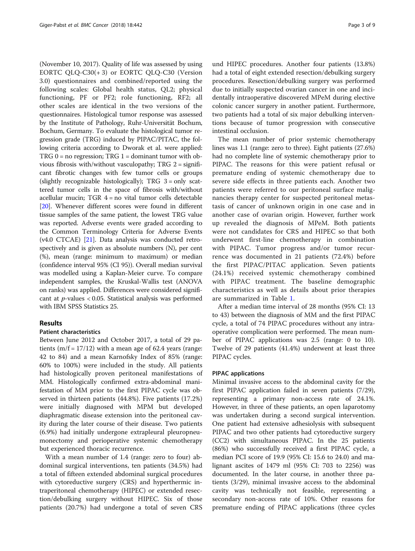(November 10, 2017). Quality of life was assessed by using EORTC QLQ-C30(+ 3) or EORTC QLQ-C30 (Version 3.0) questionnaires and combined/reported using the following scales: Global health status, QL2; physical functioning, PF or PF2; role functioning, RF2; all other scales are identical in the two versions of the questionnaires. Histological tumor response was assessed by the Institute of Pathology, Ruhr-Universität Bochum, Bochum, Germany. To evaluate the histological tumor regression grade (TRG) induced by PIPAC/PITAC, the following criteria according to Dworak et al. were applied:  $TRG$  0 = no regression;  $TRG$  1 = dominant tumor with obvious fibrosis with/without vasculopathy; TRG 2 = significant fibrotic changes with few tumor cells or groups (slightly recognizable histologically); TRG 3 = only scattered tumor cells in the space of fibrosis with/without acellular mucin; TGR 4 = no vital tumor cells detectable [[20](#page-8-0)]. Whenever different scores were found in different tissue samples of the same patient, the lowest TRG value was reported. Adverse events were graded according to the Common Terminology Criteria for Adverse Events (v4.0 CTCAE) [\[21](#page-8-0)]. Data analysis was conducted retrospectively and is given as absolute numbers (N), per cent (%), mean (range: minimum to maximum) or median (confidence interval 95% (CI 95)). Overall median survival was modelled using a Kaplan-Meier curve. To compare independent samples, the Kruskal-Wallis test (ANOVA on ranks) was applied. Differences were considered significant at  $p$ -values < 0.05. Statistical analysis was performed with IBM SPSS Statistics 25.

## Results

## Patient characteristics

Between June 2012 and October 2017, a total of 29 patients  $(m/f = 17/12)$  with a mean age of 62.4 years (range: 42 to 84) and a mean Karnofsky Index of 85% (range: 60% to 100%) were included in the study. All patients had histologically proven peritoneal manifestations of MM. Histologically confirmed extra-abdominal manifestation of MM prior to the first PIPAC cycle was observed in thirteen patients (44.8%). Five patients (17.2%) were initially diagnosed with MPM but developed diaphragmatic disease extension into the peritoneal cavity during the later course of their disease. Two patients (6.9%) had initially undergone extrapleural pleuropneumonectomy and perioperative systemic chemotherapy but experienced thoracic recurrence.

With a mean number of 1.4 (range: zero to four) abdominal surgical interventions, ten patients (34.5%) had a total of fifteen extended abdominal surgical procedures with cytoreductive surgery (CRS) and hyperthermic intraperitoneal chemotherapy (HIPEC) or extended resection/debulking surgery without HIPEC. Six of those patients (20.7%) had undergone a total of seven CRS

und HIPEC procedures. Another four patients (13.8%) had a total of eight extended resection/debulking surgery procedures. Resection/debulking surgery was performed due to initially suspected ovarian cancer in one and incidentally intraoperative discovered MPeM during elective colonic cancer surgery in another patient. Furthermore, two patients had a total of six major debulking interventions because of tumor progression with consecutive intestinal occlusion.

The mean number of prior systemic chemotherapy lines was 1.1 (range: zero to three). Eight patients (27.6%) had no complete line of systemic chemotherapy prior to PIPAC. The reasons for this were patient refusal or premature ending of systemic chemotherapy due to severe side effects in three patients each. Another two patients were referred to our peritoneal surface malignancies therapy center for suspected peritoneal metastasis of cancer of unknown origin in one case and in another case of ovarian origin. However, further work up revealed the diagnosis of MPeM. Both patients were not candidates for CRS and HIPEC so that both underwent first-line chemotherapy in combination with PIPAC. Tumor progress and/or tumor recurrence was documented in 21 patients (72.4%) before the first PIPAC/PITAC application. Seven patients (24.1%) received systemic chemotherapy combined with PIPAC treatment. The baseline demographic characteristics as well as details about prior therapies are summarized in Table [1](#page-3-0).

After a median time interval of 28 months (95% CI: 13 to 43) between the diagnosis of MM and the first PIPAC cycle, a total of 74 PIPAC procedures without any intraoperative complication were performed. The mean number of PIPAC applications was 2.5 (range: 0 to 10). Twelve of 29 patients (41.4%) underwent at least three PIPAC cycles.

## PIPAC applications

Minimal invasive access to the abdominal cavity for the first PIPAC application failed in seven patients (7/29), representing a primary non-access rate of 24.1%. However, in three of these patients, an open laparotomy was undertaken during a second surgical intervention. One patient had extensive adhesiolysis with subsequent PIPAC and two other patients had cytoreductive surgery (CC2) with simultaneous PIPAC. In the 25 patients (86%) who successfully received a first PIPAC cycle, a median PCI score of 19.9 (95% CI: 15.6 to 24.0) and malignant ascites of 1479 ml (95% CI: 703 to 2256) was documented. In the later course, in another three patients (3/29), minimal invasive access to the abdominal cavity was technically not feasible, representing a secondary non-access rate of 10%. Other reasons for premature ending of PIPAC applications (three cycles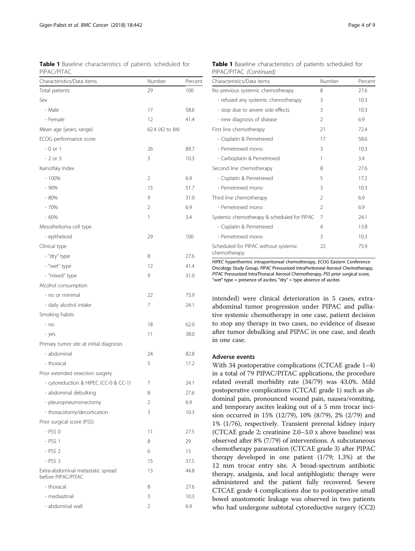<span id="page-3-0"></span>Table 1 Baseline characteristics of patients scheduled for PIPAC/PITAC

| Characteristics/Data items                              | Number          | Percent |
|---------------------------------------------------------|-----------------|---------|
| Total patients                                          | 29              | 100     |
| Sex                                                     |                 |         |
| - Male                                                  | 17              | 58.6    |
| - Female                                                | 12              | 41.4    |
| Mean age (years; range)                                 | 62.4 (42 to 84) |         |
| ECOG performance score                                  |                 |         |
| $-0$ or $1$                                             | 26              | 89.7    |
| $-2$ or 3                                               | 3               | 10.3    |
| Karnofsky Index                                         |                 |         |
| $-100%$                                                 | $\overline{2}$  | 6.9     |
| - 90%                                                   | 15              | 51.7    |
| $-80%$                                                  | 9               | 31.0    |
| $-70%$                                                  | 2               | 6.9     |
| $-60%$                                                  | 1               | 3.4     |
| Mesothelioma cell type                                  |                 |         |
| - epithelioid                                           | 29              | 100     |
| Clinical type                                           |                 |         |
| - "dry" type                                            | 8               | 27.6    |
| - "wet" type                                            | 12              | 41.4    |
| - "mixed" type                                          | 9               | 31.0    |
| Alcohol consumption                                     |                 |         |
| - no or minimal                                         | 22              | 75.9    |
| - daily alcohol intake                                  | 7               | 24.1    |
| Smoking habits                                          |                 |         |
| $- no$                                                  | 18              | 62.0    |
| - yes                                                   | 11              | 38.0    |
| Primary tumor site at initial diagnosis                 |                 |         |
| - abdominal                                             | 24              | 82.8    |
| - thoracal                                              | 5               | 17.2    |
| Prior extended resection surgery                        |                 |         |
| - cytoreduction & HIPEC (CC-0 & CC-1)                   | 7               | 24.1    |
| - abdominal debulking                                   | 8               | 27.6    |
| - pleuropneumonectomy                                   | 2               | 6.9     |
| - thoracotomy/decortication                             | 3               | 10.3    |
| Prior surgical score (PSS)                              |                 |         |
| $-$ PSS $0$                                             | 11              | 27.5    |
| $-$ PSS 1                                               | 8               | 29      |
| - PSS 2                                                 | 6               | 15      |
| $-$ PSS 3                                               | 15              | 37.5    |
| Extra-abdominal metastatic spread<br>before PIPAC/PITAC | 13              | 44.8    |
| - thoracal                                              | 8               | 27.6    |
| - mediastinal                                           | 3               | 10.3    |
| - abdominal wall                                        | 2               | 6.9     |

|                         | <b>Table 1</b> Baseline characteristics of patients scheduled for |  |  |
|-------------------------|-------------------------------------------------------------------|--|--|
| PIPAC/PITAC (Continued) |                                                                   |  |  |

| Characteristics/Data items                           | Number         | Percent |
|------------------------------------------------------|----------------|---------|
| No previous systemic chemotherapy                    | 8              | 27.6    |
| - refused any systemic chemotherapy                  | 3              | 10.3    |
| - stop due to severe side effects                    | 3              | 10.3    |
| - new diagnosis of disease                           | $\mathfrak{D}$ | 6.9     |
| First line chemotherapy                              | 21             | 72.4    |
| - Cisplatin & Pemetrexed                             | 17             | 58.6    |
| - Pemetrexed mono                                    | 3              | 10.3    |
| - Carboplatin & Pemetrexed                           | 1              | 3.4     |
| Second line chemotherapy                             | 8              | 27.6    |
| - Cisplatin & Pemetrexed                             | 5              | 17.2    |
| - Pemetrexed mono                                    | 3              | 10.3    |
| Third line chemotherapy                              | $\mathfrak{D}$ | 6.9     |
| - Pemetrexed mono                                    | $\mathfrak{D}$ | 6.9     |
| Systemic chemotherapy & scheduled for PIPAC          | 7              | 24.1    |
| - Cisplatin & Pemetrexed                             | 4              | 13.8    |
| - Pemetrexed mono                                    | 3              | 10.3    |
| Scheduled for PIPAC without systemic<br>chemotherapy | 22             | 75.9    |

HIPEC hyperthermic intraperitoneal chemotherapy, ECOG Eastern Conference Oncology Study Group, PIPAC Pressurized IntraPeritoneal Aerosol Chemotherapy, PITAC Pressurized IntraThoracal Aerosol Chemotherapy, PSS prior surgical score, "wet" type = presence of ascites, "dry" = type absence of ascites

intended) were clinical deterioration in 5 cases, extraabdominal tumor progression under PIPAC and palliative systemic chemotherapy in one case, patient decision to stop any therapy in two cases, no evidence of disease after tumor debulking and PIPAC in one case, and death in one case.

## Adverse events

With 34 postoperative complications (CTCAE grade 1–4) in a total of 79 PIPAC/PITAC applications, the procedure related overall morbidity rate (34/79) was 43.0%. Mild postoperative complications (CTCAE grade 1) such as abdominal pain, pronounced wound pain, nausea/vomiting, and temporary ascites leaking out of a 5 mm trocar incision occurred in 15% (12/79), 10% (8/79), 2% (2/79) and 1% (1/76), respectively. Transient prerenal kidney injury (CTCAE grade 2; creatinine 2.0–3.0 x above baseline) was observed after 8% (7/79) of interventions. A subcutaneous chemotherapy paravasation (CTCAE grade 3) after PIPAC therapy developed in one patient (1/79; 1.3%) at the 12 mm trocar entry site. A broad-spectrum antibiotic therapy, analgesia, and local antiphlogistic therapy were administered and the patient fully recovered. Severe CTCAE grade 4 complications due to postoperative small bowel anastomotic leakage was observed in two patients who had undergone subtotal cytoreductive surgery (CC2)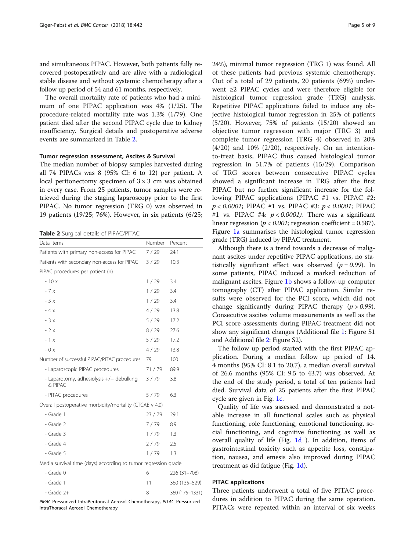and simultaneous PIPAC. However, both patients fully recovered postoperatively and are alive with a radiological stable disease and without systemic chemotherapy after a follow up period of 54 and 61 months, respectively.

The overall mortality rate of patients who had a minimum of one PIPAC application was 4% (1/25). The procedure-related mortality rate was 1.3% (1/79). One patient died after the second PIPAC cycle due to kidney insufficiency. Surgical details and postoperative adverse events are summarized in Table 2.

## Tumor regression assessment, Ascites & Survival

The median number of biopsy samples harvested during all 74 PIPACs was 8 (95% CI: 6 to 12) per patient. A local peritonectomy specimen of  $3 \times 3$  cm was obtained in every case. From 25 patients, tumor samples were retrieved during the staging laparoscopy prior to the first PIPAC. No tumor regression (TRG 0) was observed in 19 patients (19/25; 76%). However, in six patients (6/25;

Table 2 Surgical details of PIPAC/PITAC

| Data items                                                     | <b>Number</b> | Percent       |  |  |
|----------------------------------------------------------------|---------------|---------------|--|--|
| Patients with primary non-access for PIPAC                     | 7/29          | 24.1          |  |  |
| Patients with secondary non-access for PIPAC                   | 3/29          | 10.3          |  |  |
| PIPAC procedures per patient (n)                               |               |               |  |  |
| $-10x$                                                         | 1/29          | 3.4           |  |  |
| $-7x$                                                          | 1/29          | 3.4           |  |  |
| $-5x$                                                          | 1/29          | 3.4           |  |  |
| $-4x$                                                          | 4/29          | 13.8          |  |  |
| $-3x$                                                          | 5/29          | 17.2          |  |  |
| $-2x$                                                          | 8/29          | 27.6          |  |  |
| $-1x$                                                          | 5/29          | 17.2          |  |  |
| $-0x$                                                          | 4/29          | 13.8          |  |  |
| Number of successful PIPAC/PITAC procedures                    | 79            | 100           |  |  |
| - Laparoscopic PIPAC procedures                                | 71 / 79       | 89.9          |  |  |
| - Laparotomy, adhesiolysis +/- debulking<br>& PIPAC            | 3/79          | 3.8           |  |  |
| - PITAC procedures                                             | 5/79          | 6.3           |  |  |
| Overall postoperative morbidity/mortality (CTCAE v 4.0)        |               |               |  |  |
| - Grade 1                                                      | 23 / 79       | 29.1          |  |  |
| - Grade 2                                                      | 7/79          | 8.9           |  |  |
| - Grade 3                                                      | 1/79          | 1.3           |  |  |
| - Grade 4                                                      | 2/79          | 2.5           |  |  |
| - Grade 5                                                      | 1/79          | 1.3           |  |  |
| Media survival time (days) according to tumor regression grade |               |               |  |  |
| - Grade 0                                                      | 6             | 226 (31-708)  |  |  |
| - Grade 1                                                      | 11            | 360 (135-529) |  |  |
|                                                                |               |               |  |  |

PIPAC Pressurized IntraPeritoneal Aerosol Chemotherapy, PITAC Pressurized IntraThoracal Aerosol Chemotherapy

- Grade 2+ 8 360 (175–1331)

24%), minimal tumor regression (TRG 1) was found. All of these patients had previous systemic chemotherapy. Out of a total of 29 patients, 20 patients (69%) underwent ≥2 PIPAC cycles and were therefore eligible for histological tumor regression grade (TRG) analysis. Repetitive PIPAC applications failed to induce any objective histological tumor regression in 25% of patients (5/20). However, 75% of patients (15/20) showed an objective tumor regression with major (TRG 3) and complete tumor regression (TRG 4) observed in 20%  $(4/20)$  and  $10\%$   $(2/20)$ , respectively. On an intentionto-treat basis, PIPAC thus caused histological tumor regression in 51.7% of patients (15/29). Comparison of TRG scores between consecutive PIPAC cycles showed a significant increase in TRG after the first PIPAC but no further significant increase for the following PIPAC applications (PIPAC #1 vs. PIPAC #2:  $p < 0.0001$ ; PIPAC #1 vs. PIPAC #3:  $p < 0.0001$ ; PIPAC #1 vs. PIPAC #4:  $p < 0.0001$ ). There was a significant linear regression ( $p < 0.001$ ; regression coefficient = 0.587). Figure [1a](#page-5-0) summarises the histological tumor regression grade (TRG) induced by PIPAC treatment.

Although there is a trend towards a decrease of malignant ascites under repetitive PIPAC applications, no statistically significant effect was observed ( $p = 0.99$ ). In some patients, PIPAC induced a marked reduction of malignant ascites. Figure [1b](#page-5-0) shows a follow-up computer tomography (CT) after PIPAC application. Similar results were observed for the PCI score, which did not change significantly during PIPAC therapy  $(p > 0.99)$ . Consecutive ascites volume measurements as well as the PCI score assessments during PIPAC treatment did not show any significant changes (Additional file [1:](#page-7-0) Figure S1 and Additional file [2:](#page-7-0) Figure S2).

The follow up period started with the first PIPAC application. During a median follow up period of 14. 4 months (95% CI: 8.1 to 20.7), a median overall survival of 26.6 months (95% CI: 9.5 to 43.7) was observed. At the end of the study period, a total of ten patients had died. Survival data of 25 patients after the first PIPAC cycle are given in Fig. [1c](#page-5-0).

Quality of life was assessed and demonstrated a notable increase in all functional scales such as physical functioning, role functioning, emotional functioning, social functioning, and cognitive functioning as well as overall quality of life (Fig. [1d](#page-5-0) ). In addition, items of gastrointestinal toxicity such as appetite loss, constipation, nausea, and emesis also improved during PIPAC treatment as did fatigue (Fig. [1d\)](#page-5-0).

## PITAC applications

Three patients underwent a total of five PITAC procedures in addition to PIPAC during the same operation. PITACs were repeated within an interval of six weeks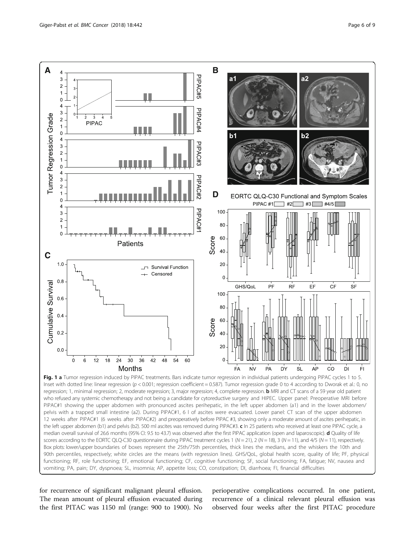<span id="page-5-0"></span>

Inset with dotted line: linear regression (p < 0.001; regression coefficient = 0.587). Tumor regression grade 0 to 4 according to Dworak et al.: 0, no regression; 1, minimal regression; 2, moderate regression; 3, major regression; 4, complete regression. **b** MRI and CT scans of a 59 year old patient who refused any systemic chemotherapy and not being a candidate for cytoreductive surgery and HIPEC. Upper panel: Preoperative MRI before PIPAC#1 showing the upper abdomen with pronounced ascites perihepatic, in the left upper abdomen (a1) and in the lower abdomen/ pelvis with a trapped small intestine (a2). During PIPAC#1, 6 l of ascites were evacuated. Lower panel: CT scan of the upper abdomen 12 weeks after PIPAC#1 (6 weeks after PIPAC#2) and preoperatively before PIPAC #3, showing only a moderate amount of ascites perihepatic, in the left upper abdomen (b1) and pelvis (b2). 500 ml ascites was removed during PIPAC#3. c In 25 patients who received at least one PIPAC cycle, a median overall survival of 26.6 months (95% CI: 9.5 to 43.7) was observed after the first PIPAC application (open and laparoscopic). d Quality of life scores according to the EORTC QLQ-C30 questionnaire during PIPAC treatment cycles 1 ( $N = 21$ ),  $2$  ( $N = 18$ ), 3 ( $N = 11$ ), and 4/5 ( $N = 11$ ), respectively. Box plots: lower/upper boundaries of boxes represent the 25th/75th percentiles, thick lines the medians, and the whiskers the 10th and 90th percentiles, respectively; white circles are the means (with regression lines). GHS/QoL, global health score, quality of life; PF, physical functioning; RF, role functioning; EF, emotional functioning; CF, cognitive functioning; SF, social functioning; FA, fatigue; NV, nausea and vomiting; PA, pain; DY, dyspnoea; SL, insomnia; AP, appetite loss; CO, constipation; DI, diarrhoea; FI, financial difficulties

for recurrence of significant malignant pleural effusion. The mean amount of pleural effusion evacuated during the first PITAC was 1150 ml (range: 900 to 1900). No

perioperative complications occurred. In one patient, recurrence of a clinical relevant pleural effusion was observed four weeks after the first PITAC procedure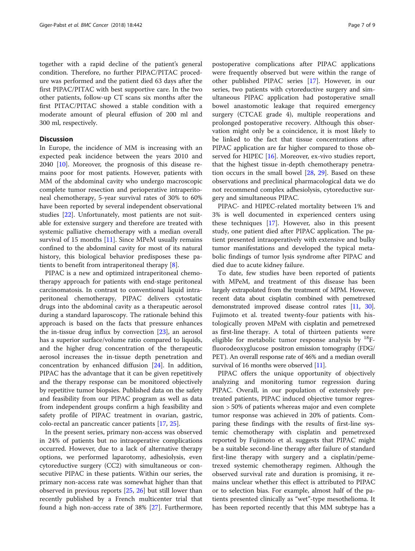together with a rapid decline of the patient's general condition. Therefore, no further PIPAC/PITAC procedure was performed and the patient died 63 days after the first PIPAC/PITAC with best supportive care. In the two other patients, follow-up CT scans six months after the first PITAC/PITAC showed a stable condition with a moderate amount of pleural effusion of 200 ml and 300 ml, respectively.

## **Discussion**

In Europe, the incidence of MM is increasing with an expected peak incidence between the years 2010 and 2040 [\[10](#page-8-0)]. Moreover, the prognosis of this disease remains poor for most patients. However, patients with MM of the abdominal cavity who undergo macroscopic complete tumor resection and perioperative intraperitoneal chemotherapy, 5-year survival rates of 30% to 60% have been reported by several independent observational studies [[22](#page-8-0)]. Unfortunately, most patients are not suitable for extensive surgery and therefore are treated with systemic palliative chemotherapy with a median overall survival of 15 months [[11](#page-8-0)]. Since MPeM usually remains confined to the abdominal cavity for most of its natural history, this biological behavior predisposes these patients to benefit from intraperitoneal therapy [[8\]](#page-8-0).

PIPAC is a new and optimized intraperitoneal chemotherapy approach for patients with end-stage peritoneal carcinomatosis. In contrast to conventional liquid intraperitoneal chemotherapy, PIPAC delivers cytostatic drugs into the abdominal cavity as a therapeutic aerosol during a standard laparoscopy. The rationale behind this approach is based on the facts that pressure enhances the in-tissue drug influx by convection [\[23](#page-8-0)], an aerosol has a superior surface/volume ratio compared to liquids, and the higher drug concentration of the therapeutic aerosol increases the in-tissue depth penetration and concentration by enhanced diffusion [[24\]](#page-8-0). In addition, PIPAC has the advantage that it can be given repetitively and the therapy response can be monitored objectively by repetitive tumor biopsies. Published data on the safety and feasibility from our PIPAC program as well as data from independent groups confirm a high feasibility and safety profile of PIPAC treatment in ovarian, gastric, colo-rectal an pancreatic cancer patients [[17,](#page-8-0) [25](#page-8-0)].

In the present series, primary non-access was observed in 24% of patients but no intraoperative complications occurred. However, due to a lack of alternative therapy options, we performed laparotomy, adhesiolysis, even cytoreductive surgery (CC2) with simultaneous or consecutive PIPAC in these patients. Within our series, the primary non-access rate was somewhat higher than that observed in previous reports [[25](#page-8-0), [26\]](#page-8-0) but still lower than recently published by a French multicenter trial that found a high non-access rate of 38% [\[27](#page-8-0)]. Furthermore, postoperative complications after PIPAC applications were frequently observed but were within the range of other published PIPAC series [\[17](#page-8-0)]. However, in our series, two patients with cytoreductive surgery and simultaneous PIPAC application had postoperative small bowel anastomotic leakage that required emergency surgery (CTCAE grade 4), multiple reoperations and prolonged postoperative recovery. Although this observation might only be a coincidence, it is most likely to be linked to the fact that tissue concentrations after PIPAC application are far higher compared to those ob-served for HIPEC [[16\]](#page-8-0). Moreover, ex-vivo studies report, that the highest tissue in-depth chemotherapy penetration occurs in the small bowel [[28](#page-8-0), [29](#page-8-0)]. Based on these observations and preclinical pharmacological data we do not recommend complex adhesiolysis, cytoreductive surgery and simultaneous PIPAC.

PIPAC- and HIPEC-related mortality between 1% and 3% is well documented in experienced centers using these techniques [[17](#page-8-0)]. However, also in this present study, one patient died after PIPAC application. The patient presented intraoperatively with extensive and bulky tumor manifestations and developed the typical metabolic findings of tumor lysis syndrome after PIPAC and died due to acute kidney failure.

To date, few studies have been reported of patients with MPeM, and treatment of this disease has been largely extrapolated from the treatment of MPM. However, recent data about cisplatin combined with pemetrexed demonstrated improved disease control rates [\[11](#page-8-0), [30](#page-8-0)]. Fujimoto et al. treated twenty-four patients with histologically proven MPeM with cisplatin and pemetrexed as first-line therapy. A total of thirteen patients were eligible for metabolic tumor response analysis by  $^{18}F$ fluorodeoxyglucose positron emission tomography (FDG/ PET). An overall response rate of 46% and a median overall survival of 16 months were observed [\[11\]](#page-8-0).

PIPAC offers the unique opportunity of objectively analyzing and monitoring tumor regression during PIPAC. Overall, in our population of extensively pretreated patients, PIPAC induced objective tumor regression > 50% of patients whereas major and even complete tumor response was achieved in 20% of patients. Comparing these findings with the results of first-line systemic chemotherapy with cisplatin and pemetrexed reported by Fujimoto et al. suggests that PIPAC might be a suitable second-line therapy after failure of standard first-line therapy with surgery and a cisplatin/pemetrexed systemic chemotherapy regimen. Although the observed survival rate and duration is promising, it remains unclear whether this effect is attributed to PIPAC or to selection bias. For example, almost half of the patients presented clinically as "wet"-type mesothelioma. It has been reported recently that this MM subtype has a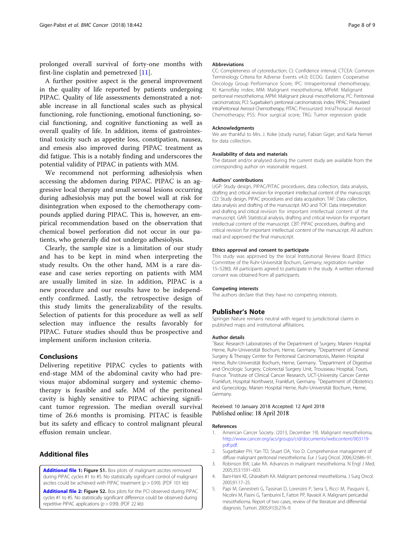<span id="page-7-0"></span>prolonged overall survival of forty-one months with first-line cisplatin and pemetrexed [[11\]](#page-8-0).

A further positive aspect is the general improvement in the quality of life reported by patients undergoing PIPAC. Quality of life assessments demonstrated a notable increase in all functional scales such as physical functioning, role functioning, emotional functioning, social functioning, and cognitive functioning as well as overall quality of life. In addition, items of gastrointestinal toxicity such as appetite loss, constipation, nausea, and emesis also improved during PIPAC treatment as did fatigue. This is a notably finding and underscores the potential validity of PIPAC in patients with MM.

We recommend not performing adhesiolysis when accessing the abdomen during PIPAC. PIPAC is an aggressive local therapy and small serosal lesions occurring during adhesiolysis may put the bowel wall at risk for disintegration when exposed to the chemotherapy compounds applied during PIPAC. This is, however, an empirical recommendation based on the observation that chemical bowel perforation did not occur in our patients, who generally did not undergo adhesiolysis.

Clearly, the sample size is a limitation of our study and has to be kept in mind when interpreting the study results. On the other hand, MM is a rare disease and case series reporting on patients with MM are usually limited in size. In addition, PIPAC is a new procedure and our results have to be independently confirmed. Lastly, the retrospective design of this study limits the generalizability of the results. Selection of patients for this procedure as well as self selection may influence the results favorably for PIPAC. Future studies should thus be prospective and implement uniform inclusion criteria.

## Conclusions

Delivering repetitive PIPAC cycles to patients with end-stage MM of the abdominal cavity who had previous major abdominal surgery and systemic chemotherapy is feasible and safe. MM of the peritoneal cavity is highly sensitive to PIPAC achieving significant tumor regression. The median overall survival time of 26.6 months is promising. PITAC is feasible but its safety and efficacy to control malignant pleural effusion remain unclear.

## Additional files

[Additional file 1:](https://doi.org/10.1186/s12885-018-4363-0) Figure S1. Box plots of malignant ascites removed during PIPAC cycles #1 to #5. No statistically significant control of malignant ascites could be achieved with PIPAC treatment ( $p > 0.99$ ). (PDF 101 kb)

[Additional file 2:](https://doi.org/10.1186/s12885-018-4363-0) Figure S2. Box plots for the PCI observed during PIPAC cycles #1 to #5. No statistically significant difference could be observed during repetitive PIPAC applications  $(p > 0.99)$ . (PDF 22 kb)

#### Abbreviations

CC: Completeness of cytoreduction; CI: Confidence interval; CTCEA: Common Terminology Criteria for Adverse Events v4.0; ECOG: Eastern Cooperative Oncology Group Performance Score; IPC: Intraperitoneal chemotherapy; KI: Karnofsky index; MM: Malignant mesothelioma; MPeM: Malignant peritoneal mesothelioma; MPM: Malignant pleural mesothelioma; PC: Peritoneal carcinomatosis; PCI: Sugarbaker's peritoneal carcinomatosis index; PIPAC: Pressurized IntraPeritoneal Aerosol Chemotherapy; PITAC: Pressurized IntraThoracal Aerosol Chemotherapy; PSS: Prior surgical score; TRG: Tumor regression grade

#### Acknowledgments

We are thankful to Mrs. J. Koke (study nurse), Fabian Giger, and Karla Nemet for data collection.

#### Availability of data and materials

The dataset and/or analysed during the current study are available from the corresponding author on reasonable request.

#### Authors' contributions

UGP: Study design, PIPAC/PITAC procedures, data collection, data analysis, drafting and critical revision for important intellectual content of the manuscript. CD: Study design, PIPAC procedures and data acquisition. TAF: Data collection, data analysis and drafting of the manuscript. MO and TOF: Data interpretation and drafting and critical revision for important intellectual content of the manuscript. GAR: Statistical analysis, drafting and critical revision for important intellectual content of the manuscript. CBT: PIPAC procedures, drafting and critical revision for important intellectual content of the manuscript. All authors read and approved the final manuscript.

#### Ethics approval and consent to participate

This study was approved by the local Institutional Review Board (Ethics Committee of the Ruhr-Universität Bochum, Germany; registration number 15–5280). All participants agreed to participate in the study. A written informed consent was obtained from all participants.

#### Competing interests

The authors declare that they have no competing interests.

#### Publisher's Note

Springer Nature remains neutral with regard to jurisdictional claims in published maps and institutional affiliations.

#### Author details

<sup>1</sup> Basic Research Laboratories of the Department of Surgery, Marien Hospital Herne, Ruhr-Universität Bochum, Herne, Germany. <sup>2</sup>Department of General Surgery & Therapy Center for Peritoneal Carcinomatosis, Marien Hospital Herne, Ruhr-Universität Bochum, Herne, Germany. <sup>3</sup>Department of Digestive and Oncologic Surgery, Colorectal Surgery Unit, Trousseau Hospital, Tours, France. <sup>4</sup>Institute of Clinical Cancer Research, UCT-University Cancer Center Frankfurt, Hospital Northwest, Frankfurt, Germany. <sup>5</sup>Department of Obstetrics and Gynecology, Marien Hospital Herne, Ruhr-Universität Bochum, Herne, Germany.

#### Received: 10 January 2018 Accepted: 12 April 2018 Published online: 18 April 2018

#### References

- American Cancer Society. (2013, December 19). Malignant mesothelioma. [http://www.cancer.org/acs/groups/cid/documents/webcontent/003119](http://www.cancer.org/acs/groups/cid/documents/webcontent/003119-pdf.pdf) [pdf.pdf.](http://www.cancer.org/acs/groups/cid/documents/webcontent/003119-pdf.pdf)
- 2. Sugarbaker PH, Yan TD, Stuart OA, Yoo D. Comprehensive management of diffuse malignant peritoneal mesothelioma. Eur J Surg Oncol. 2006;32:686–91.
- 3. Robinson BW, Lake RA. Advances in malignant mesothelioma. N Engl J Med. 2005;353:1591–603.
- 4. Bani-Hani KE, Gharaibeh KA. Malignant peritoneal mesothelioma. J Surg Oncol. 2005;91:17–25.
- 5. Papi M, Genestreti G, Tassinari D, Lorenzini P, Serra S, Ricci M, Pasquini E, Nicolini M, Pasini G, Tamburini E, Fattori PP, Ravaioli A. Malignant pericardial mesothelioma. Report of two cases, review of the literature and differential diagnosis. Tumori. 2005;91(3):276–9.